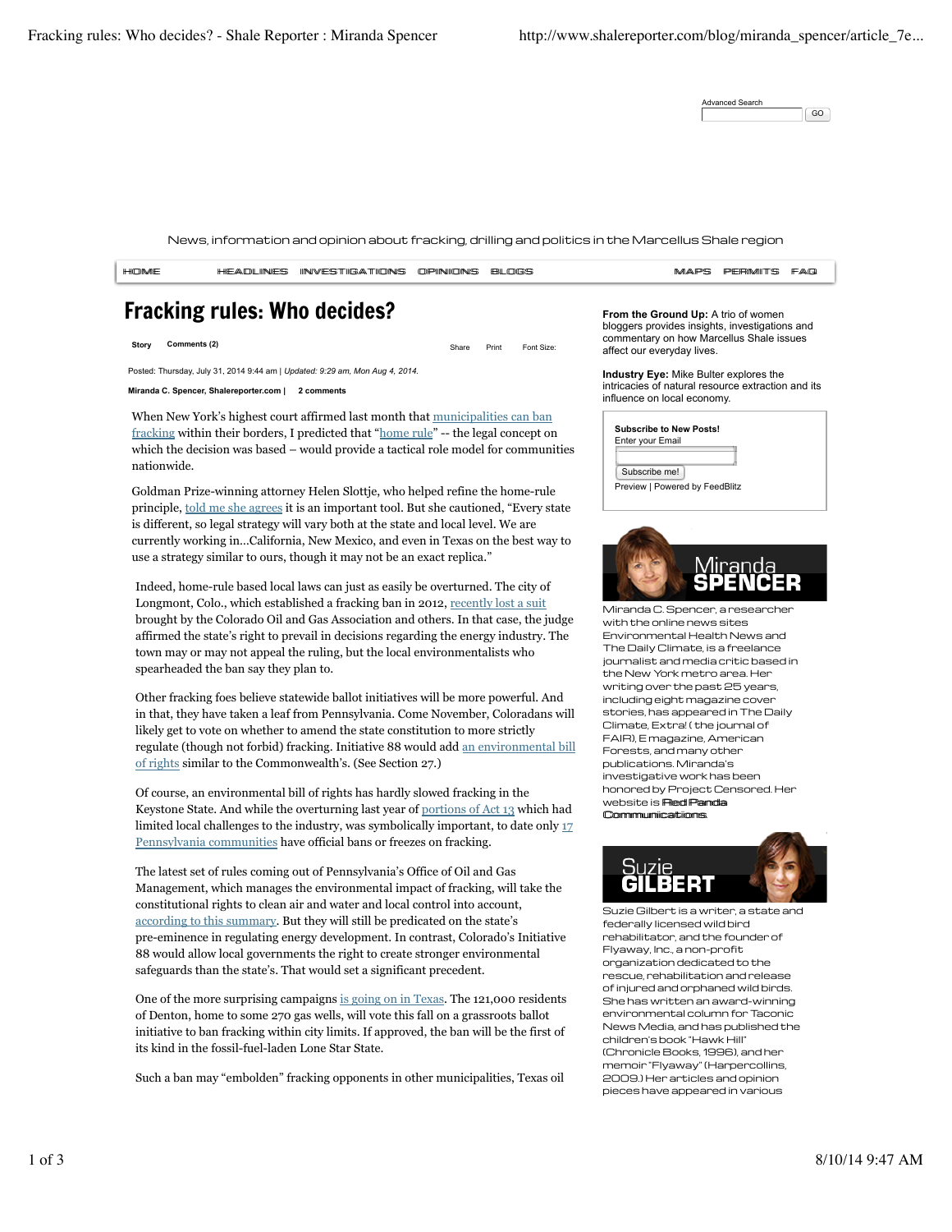Advanced Search GO

News, information and opinion about fracking, drilling and politics in the Marcellus Shale region



Other fracking foes believe statewide ballot initiatives will be more powerful. And in that, they have taken a leaf from Pennsylvania. Come November, Coloradans will likely get to vote on whether to amend the state constitution to more strictly regulate (though not forbid) fracking. Initiative 88 would add an environmental bill of rights similar to the Commonwealth's. (See Section 27.)

Of course, an environmental bill of rights has hardly slowed fracking in the Keystone State. And while the overturning last year of portions of Act 13 which had limited local challenges to the industry, was symbolically important, to date only 17 Pennsylvania communities have official bans or freezes on fracking.

The latest set of rules coming out of Pennsylvania's Office of Oil and Gas Management, which manages the environmental impact of fracking, will take the constitutional rights to clean air and water and local control into account, according to this summary. But they will still be predicated on the state's pre-eminence in regulating energy development. In contrast, Colorado's Initiative 88 would allow local governments the right to create stronger environmental safeguards than the state's. That would set a significant precedent.

One of the more surprising campaigns is going on in Texas. The 121,000 residents of Denton, home to some 270 gas wells, will vote this fall on a grassroots ballot initiative to ban fracking within city limits. If approved, the ban will be the first of its kind in the fossil-fuel-laden Lone Star State.

Such a ban may "embolden" fracking opponents in other municipalities, Texas oil

the New York metro area. Her writing over the past 25 years, including eight magazine cover stories, has appeared in The Daily Climate, Extra! ( the journal of FAIR), E magazine, American Forests, and many other publications. Miranda's investigative work has been honored by Project Censored. Her website is **Red Panda** CCoommmmuunniiccaattiioonnss.



Suzie Gilbert is a writer, a state and federally licensed wild bird rehabilitator, and the founder of Flyaway, Inc., a non-profit organization dedicated to the rescue, rehabilitation and release of injured and orphaned wild birds. She has written an award-winning environmental column for Taconic News Media, and has published the children's book "Hawk Hill" (Chronicle Books, 1996), and her memoir "Flyaway" (Harpercollins, 2009.) Her articles and opinion pieces have appeared in various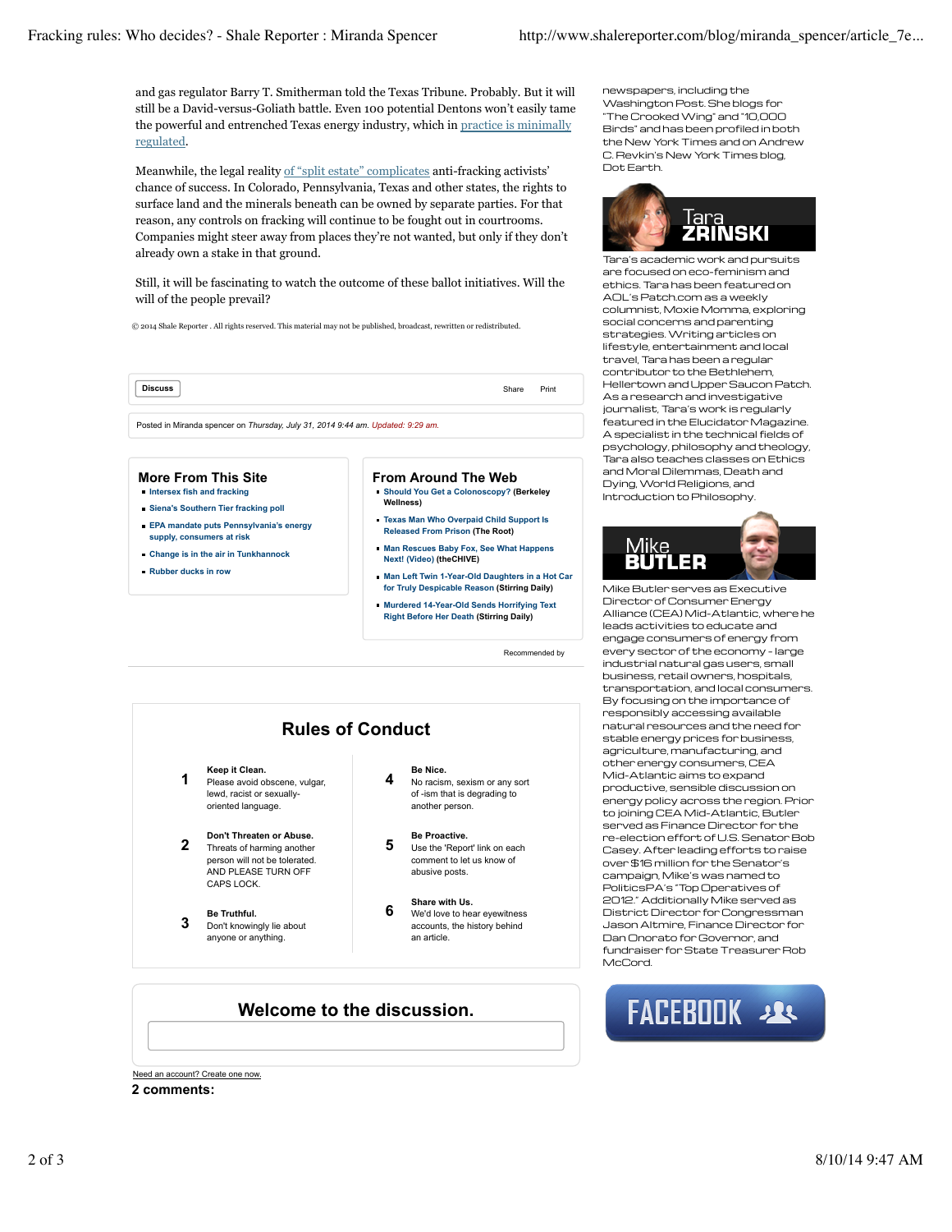and gas regulator Barry T. Smitherman told the Texas Tribune. Probably. But it will still be a David-versus-Goliath battle. Even 100 potential Dentons won't easily tame the powerful and entrenched Texas energy industry, which in practice is minimally regulated.

Meanwhile, the legal reality of "split estate" complicates anti-fracking activists' chance of success. In Colorado, Pennsylvania, Texas and other states, the rights to surface land and the minerals beneath can be owned by separate parties. For that reason, any controls on fracking will continue to be fought out in courtrooms. Companies might steer away from places they're not wanted, but only if they don't already own a stake in that ground.

Still, it will be fascinating to watch the outcome of these ballot initiatives. Will the will of the people prevail?

© 2014 Shale Reporter . All rights reserved. This material may not be published, broadcast, rewritten or redistributed.

**Discuss** Share Print

Posted in Miranda spencer on *Thursday, July 31, 2014 9:44 am. Updated: 9:29 am.*

### **More From This Site**

- **Intersex fish and fracking**
- **Siena's Southern Tier fracking poll**
- **EPA mandate puts Pennsylvania's energy supply, consumers at risk**

lewd, racist or sexuallyoriented language.

**2 Don't Threaten or Abuse.**<br>**2** Threats of harming another person will not be tolerated. AND PLEASE TURN OFF CAPS LOCK.

**3 Be Truthful.**<br> **3 Don't knowingly lie about** anyone or anything.

- **Change is in the air in Tunkhannock**
- **Rubber ducks in row**

#### **From Around The Web**

- **Should You Get a Colonoscopy? (Berkeley Wellness)**
- **Texas Man Who Overpaid Child Support Is Released From Prison (The Root)**
- **Man Rescues Baby Fox, See What Happens Next! (Video) (theCHIVE)**
- **Man Left Twin 1-Year-Old Daughters in a Hot Car for Truly Despicable Reason (Stirring Daily)**
- **Murdered 14-Year-Old Sends Horrifying Text Right Before Her Death (Stirring Daily)**

Recommended by

# **1 Keep it Clean.**<br>**1 Please avoid obscene, vulgar, Rules of Conduct**

**4 Be Nice.**<br>**4 No racism, sexism or any sort** of -ism that is degrading to another person.

# **5 Be Proactive.**<br> **5** Use the 'Report' link on each

- comment to let us know of abusive posts.
- **6 Share with Us.**<br>**6 We'd love to hear eyewitness** accounts, the history behind an article.

## **Welcome to the discussion.**

Need an account? Create one now.

#### **2 comments:**

newspapers, including the Washington Post. She blogs for "The Crooked Wing" and "10,000 Birds" and has been profiled in both the New York Times and on Andrew C. Revkin's New York Times blog, Dot Earth.



Tara's academic work and pursuits are focused on eco-feminism and ethics. Tara has been featured on AOL's Patch.com as a weekly columnist, Moxie Momma, exploring social concerns and parenting strategies. Writing articles on lifestyle, entertainment and local travel, Tara has been a regular contributor to the Bethlehem, Hellertown and Upper Saucon Patch. As a research and investigative journalist, Tara's work is regularly featured in the Elucidator Magazine. A specialist in the technical fields of psychology, philosophy and theology, Tara also teaches classes on Ethics and Moral Dilemmas, Death and Dying, World Religions, and Introduction to Philosophy.



Mike Butler serves as Executive Director of Consumer Energy Alliance (CEA) Mid-Atlantic, where he leads activities to educate and engage consumers of energy from every sector of the economy – large industrial natural gas users, small business, retail owners, hospitals, transportation, and local consumers. By focusing on the importance of responsibly accessing available natural resources and the need for stable energy prices for business, agriculture, manufacturing, and other energy consumers, CEA Mid-Atlantic aims to expand productive, sensible discussion on energy policy across the region. Prior to joining CEA Mid-Atlantic, Butler served as Finance Director for the re-election effort of U.S. Senator Bob Casey. After leading efforts to raise over \$16 million for the Senator's campaign, Mike's was named to PoliticsPA's "Top Operatives of 2012." Additionally Mike served as District Director for Congressman Jason Altmire, Finance Director for Dan Onorato for Governor, and fundraiser for State Treasurer Rob McCord.